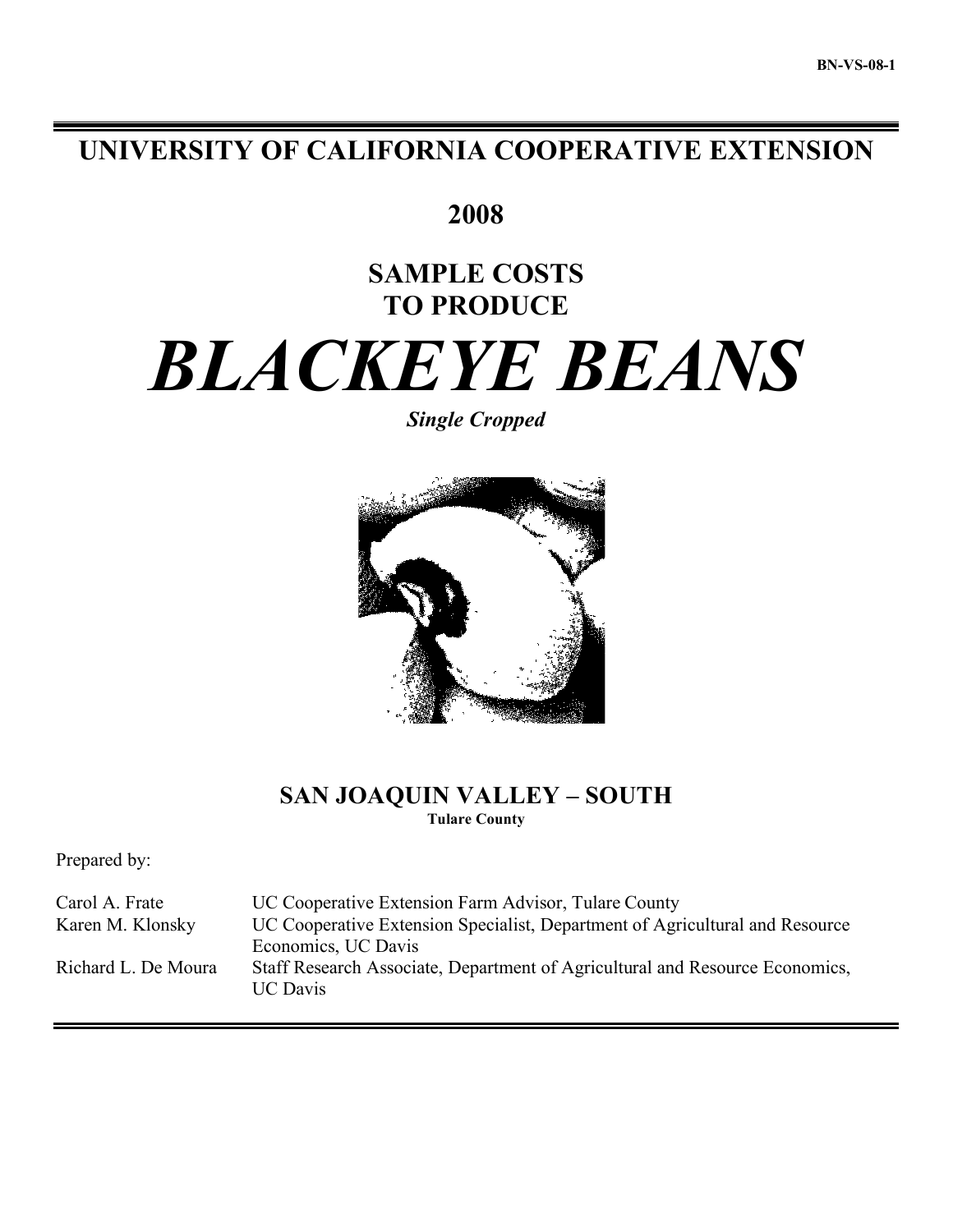# **UNIVERSITY OF CALIFORNIA COOPERATIVE EXTENSION**

**2008**

# **SAMPLE COSTS TO PRODUCE**

# *BLACKEYE BEANS*

*Single Cropped*



# **SAN JOAQUIN VALLEY – SOUTH Tulare County**

Prepared by:

Carol A. Frate UC Cooperative Extension Farm Advisor, Tulare County Karen M. Klonsky UC Cooperative Extension Specialist, Department of Agricultural and Resource Economics, UC Davis Richard L. De Moura Staff Research Associate, Department of Agricultural and Resource Economics, UC Davis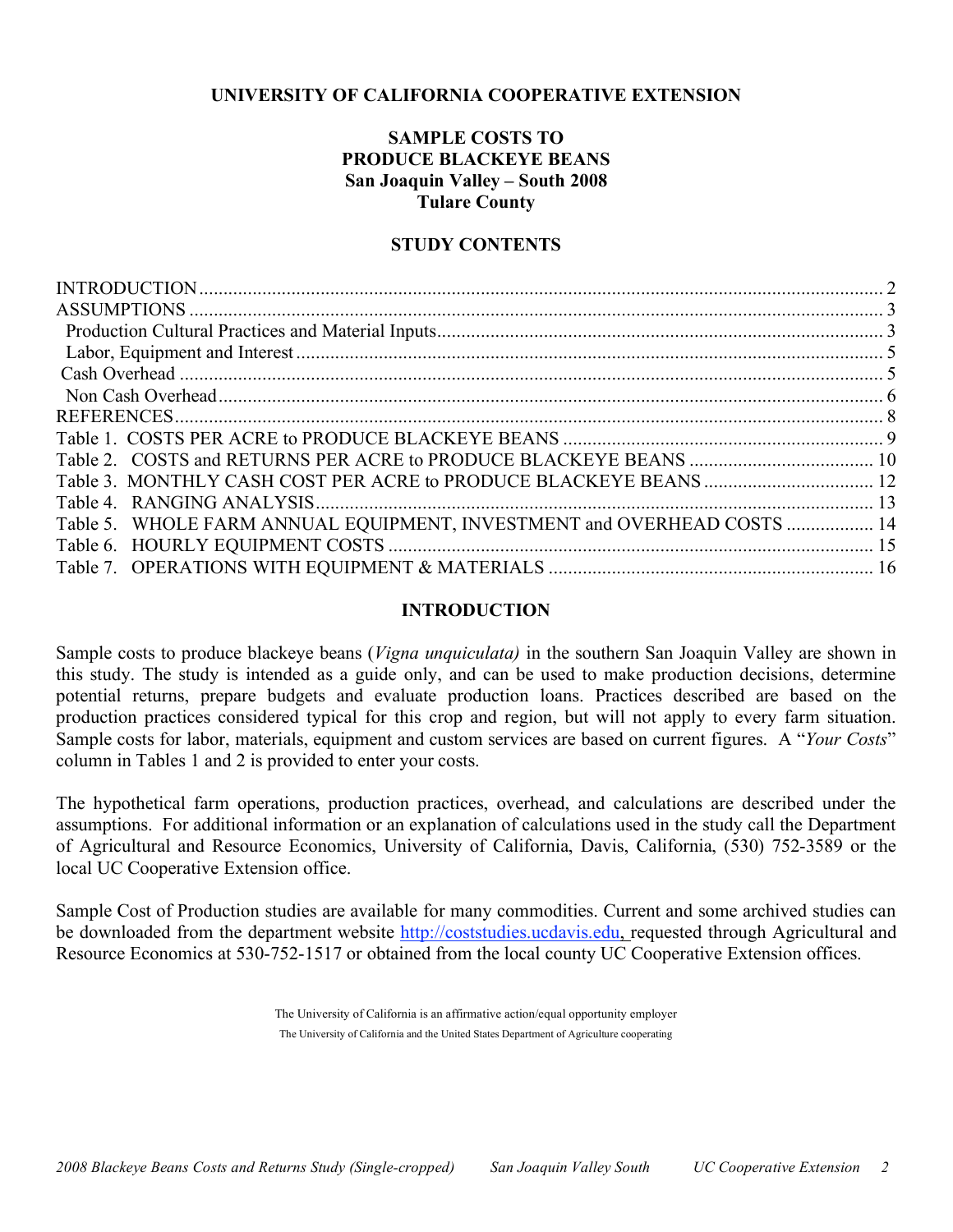# **UNIVERSITY OF CALIFORNIA COOPERATIVE EXTENSION**

# **SAMPLE COSTS TO PRODUCE BLACKEYE BEANS San Joaquin Valley – South 2008 Tulare County**

## **STUDY CONTENTS**

| Table 3. MONTHLY CASH COST PER ACRE to PRODUCE BLACKEYE BEANS  12       |  |
|-------------------------------------------------------------------------|--|
|                                                                         |  |
| Table 5. WHOLE FARM ANNUAL EQUIPMENT, INVESTMENT and OVERHEAD COSTS  14 |  |
|                                                                         |  |
|                                                                         |  |

## **INTRODUCTION**

Sample costs to produce blackeye beans (*Vigna unquiculata)* in the southern San Joaquin Valley are shown in this study. The study is intended as a guide only, and can be used to make production decisions, determine potential returns, prepare budgets and evaluate production loans. Practices described are based on the production practices considered typical for this crop and region, but will not apply to every farm situation. Sample costs for labor, materials, equipment and custom services are based on current figures. A "*Your Costs*" column in Tables 1 and 2 is provided to enter your costs.

The hypothetical farm operations, production practices, overhead, and calculations are described under the assumptions. For additional information or an explanation of calculations used in the study call the Department of Agricultural and Resource Economics, University of California, Davis, California, (530) 752-3589 or the local UC Cooperative Extension office.

Sample Cost of Production studies are available for many commodities. Current and some archived studies can be downloaded from the department website http://coststudies.ucdavis.edu, requested through Agricultural and Resource Economics at 530-752-1517 or obtained from the local county UC Cooperative Extension offices.

> The University of California is an affirmative action/equal opportunity employer The University of California and the United States Department of Agriculture cooperating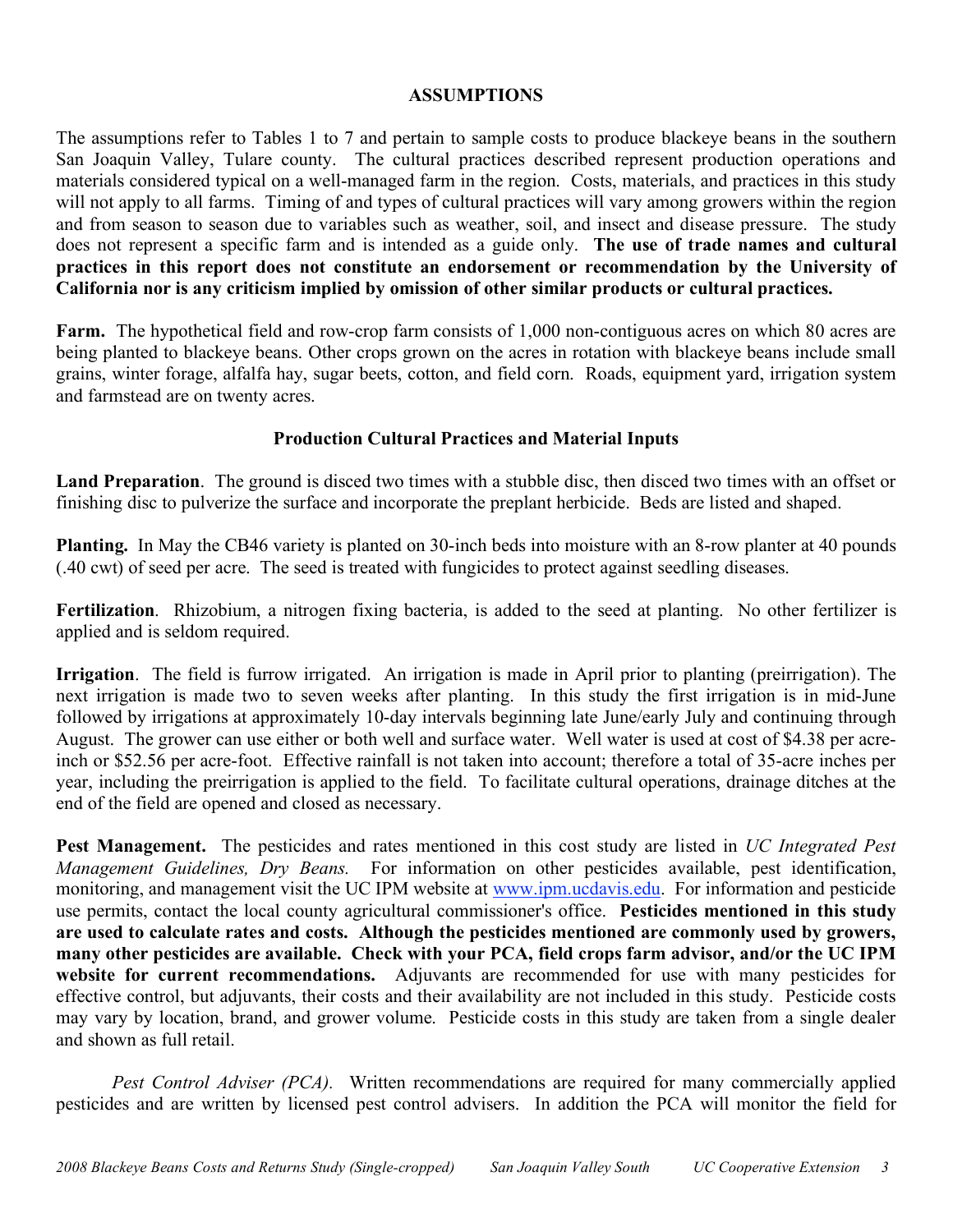# **ASSUMPTIONS**

The assumptions refer to Tables 1 to 7 and pertain to sample costs to produce blackeye beans in the southern San Joaquin Valley, Tulare county. The cultural practices described represent production operations and materials considered typical on a well-managed farm in the region. Costs, materials, and practices in this study will not apply to all farms. Timing of and types of cultural practices will vary among growers within the region and from season to season due to variables such as weather, soil, and insect and disease pressure. The study does not represent a specific farm and is intended as a guide only. **The use of trade names and cultural practices in this report does not constitute an endorsement or recommendation by the University of California nor is any criticism implied by omission of other similar products or cultural practices.**

**Farm.** The hypothetical field and row-crop farm consists of 1,000 non-contiguous acres on which 80 acres are being planted to blackeye beans. Other crops grown on the acres in rotation with blackeye beans include small grains, winter forage, alfalfa hay, sugar beets, cotton, and field corn. Roads, equipment yard, irrigation system and farmstead are on twenty acres.

# **Production Cultural Practices and Material Inputs**

**Land Preparation**. The ground is disced two times with a stubble disc, then disced two times with an offset or finishing disc to pulverize the surface and incorporate the preplant herbicide. Beds are listed and shaped.

**Planting.** In May the CB46 variety is planted on 30-inch beds into moisture with an 8-row planter at 40 pounds (.40 cwt) of seed per acre. The seed is treated with fungicides to protect against seedling diseases.

**Fertilization**. Rhizobium, a nitrogen fixing bacteria, is added to the seed at planting. No other fertilizer is applied and is seldom required.

**Irrigation**. The field is furrow irrigated. An irrigation is made in April prior to planting (preirrigation). The next irrigation is made two to seven weeks after planting. In this study the first irrigation is in mid-June followed by irrigations at approximately 10-day intervals beginning late June/early July and continuing through August. The grower can use either or both well and surface water. Well water is used at cost of \$4.38 per acreinch or \$52.56 per acre-foot. Effective rainfall is not taken into account; therefore a total of 35-acre inches per year, including the preirrigation is applied to the field. To facilitate cultural operations, drainage ditches at the end of the field are opened and closed as necessary.

**Pest Management.** The pesticides and rates mentioned in this cost study are listed in *UC Integrated Pest Management Guidelines, Dry Beans.* For information on other pesticides available, pest identification, monitoring, and management visit the UC IPM website at www.ipm.ucdavis.edu. For information and pesticide use permits, contact the local county agricultural commissioner's office. **Pesticides mentioned in this study are used to calculate rates and costs. Although the pesticides mentioned are commonly used by growers, many other pesticides are available. Check with your PCA, field crops farm advisor, and/or the UC IPM website for current recommendations.** Adjuvants are recommended for use with many pesticides for effective control, but adjuvants, their costs and their availability are not included in this study. Pesticide costs may vary by location, brand, and grower volume. Pesticide costs in this study are taken from a single dealer and shown as full retail.

*Pest Control Adviser (PCA).* Written recommendations are required for many commercially applied pesticides and are written by licensed pest control advisers. In addition the PCA will monitor the field for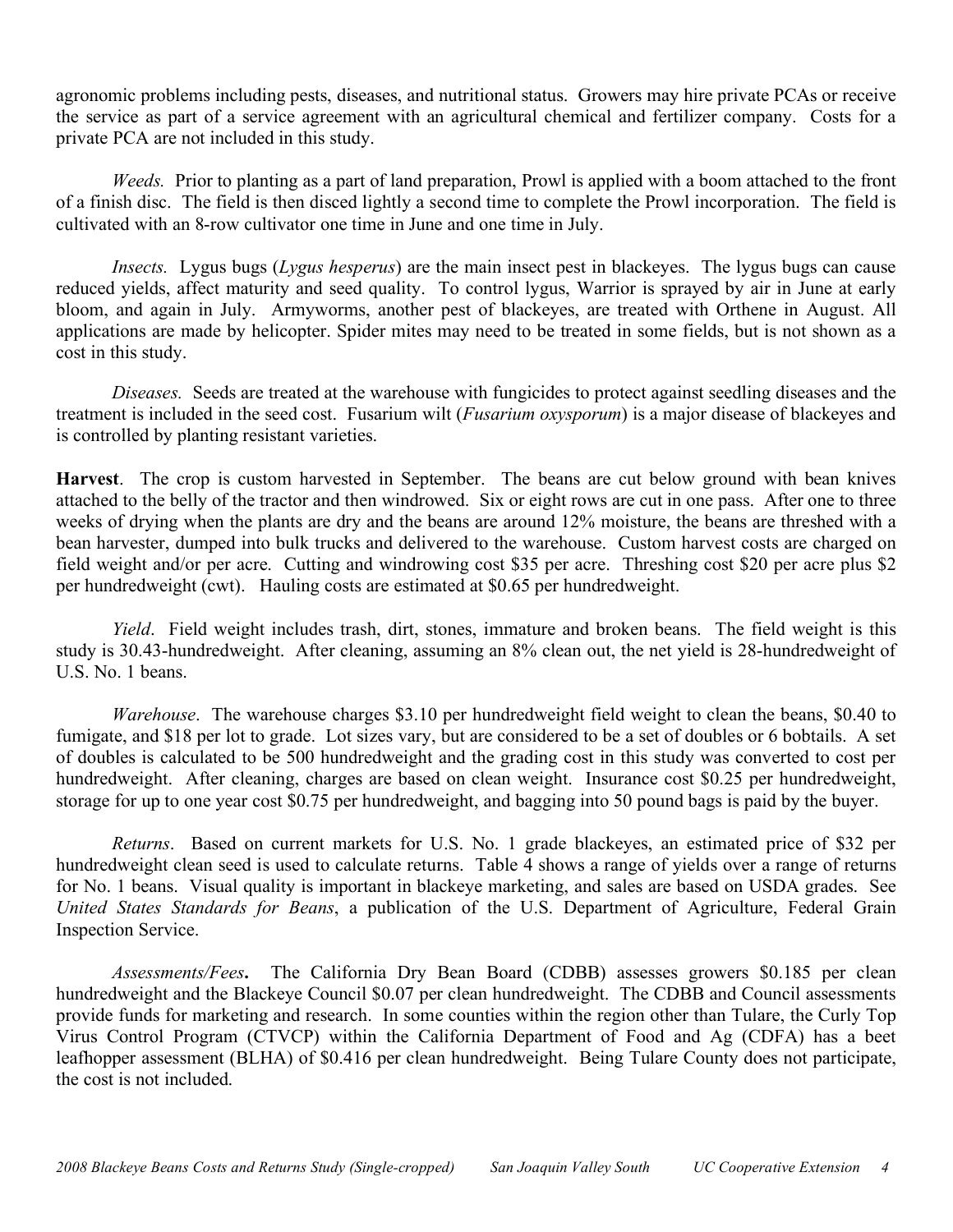agronomic problems including pests, diseases, and nutritional status. Growers may hire private PCAs or receive the service as part of a service agreement with an agricultural chemical and fertilizer company. Costs for a private PCA are not included in this study.

*Weeds.* Prior to planting as a part of land preparation, Prowl is applied with a boom attached to the front of a finish disc. The field is then disced lightly a second time to complete the Prowl incorporation. The field is cultivated with an 8-row cultivator one time in June and one time in July.

*Insects.* Lygus bugs (*Lygus hesperus*) are the main insect pest in blackeyes. The lygus bugs can cause reduced yields, affect maturity and seed quality. To control lygus, Warrior is sprayed by air in June at early bloom, and again in July. Armyworms, another pest of blackeyes, are treated with Orthene in August. All applications are made by helicopter. Spider mites may need to be treated in some fields, but is not shown as a cost in this study.

*Diseases.* Seeds are treated at the warehouse with fungicides to protect against seedling diseases and the treatment is included in the seed cost. Fusarium wilt (*Fusarium oxysporum*) is a major disease of blackeyes and is controlled by planting resistant varieties.

**Harvest**. The crop is custom harvested in September. The beans are cut below ground with bean knives attached to the belly of the tractor and then windrowed. Six or eight rows are cut in one pass. After one to three weeks of drying when the plants are dry and the beans are around 12% moisture, the beans are threshed with a bean harvester, dumped into bulk trucks and delivered to the warehouse. Custom harvest costs are charged on field weight and/or per acre. Cutting and windrowing cost \$35 per acre. Threshing cost \$20 per acre plus \$2 per hundredweight (cwt). Hauling costs are estimated at \$0.65 per hundredweight.

*Yield*. Field weight includes trash, dirt, stones, immature and broken beans. The field weight is this study is 30.43-hundredweight. After cleaning, assuming an 8% clean out, the net yield is 28-hundredweight of U.S. No. 1 beans.

*Warehouse*. The warehouse charges \$3.10 per hundredweight field weight to clean the beans, \$0.40 to fumigate, and \$18 per lot to grade. Lot sizes vary, but are considered to be a set of doubles or 6 bobtails. A set of doubles is calculated to be 500 hundredweight and the grading cost in this study was converted to cost per hundredweight. After cleaning, charges are based on clean weight. Insurance cost \$0.25 per hundredweight, storage for up to one year cost \$0.75 per hundredweight, and bagging into 50 pound bags is paid by the buyer.

*Returns*. Based on current markets for U.S. No. 1 grade blackeyes, an estimated price of \$32 per hundredweight clean seed is used to calculate returns. Table 4 shows a range of yields over a range of returns for No. 1 beans. Visual quality is important in blackeye marketing, and sales are based on USDA grades. See *United States Standards for Beans*, a publication of the U.S. Department of Agriculture, Federal Grain Inspection Service.

*Assessments/Fees***.** The California Dry Bean Board (CDBB) assesses growers \$0.185 per clean hundredweight and the Blackeye Council \$0.07 per clean hundredweight. The CDBB and Council assessments provide funds for marketing and research. In some counties within the region other than Tulare, the Curly Top Virus Control Program (CTVCP) within the California Department of Food and Ag (CDFA) has a beet leafhopper assessment (BLHA) of \$0.416 per clean hundredweight. Being Tulare County does not participate, the cost is not included.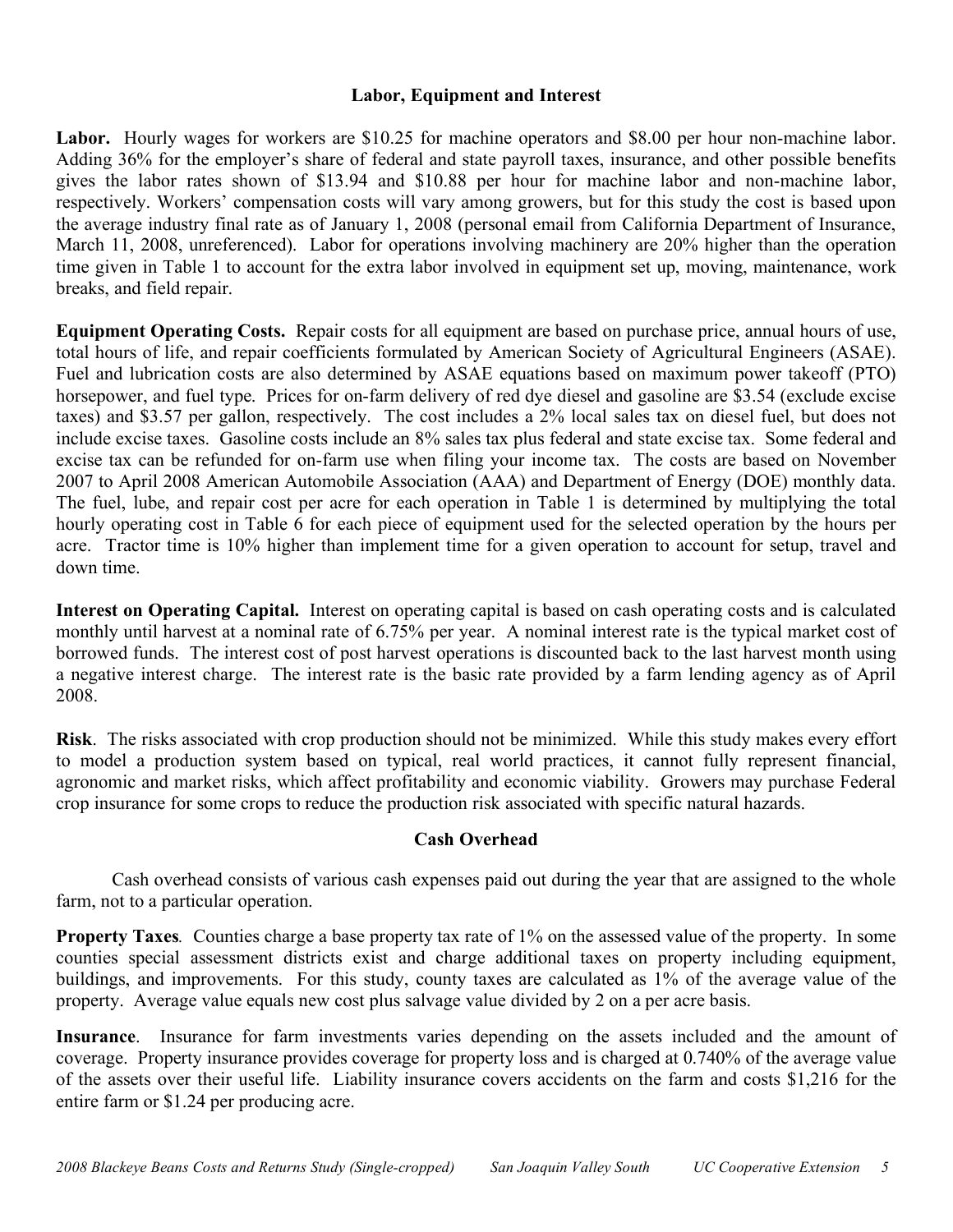# **Labor, Equipment and Interest**

Labor. Hourly wages for workers are \$10.25 for machine operators and \$8.00 per hour non-machine labor. Adding 36% for the employer's share of federal and state payroll taxes, insurance, and other possible benefits gives the labor rates shown of \$13.94 and \$10.88 per hour for machine labor and non-machine labor, respectively. Workers' compensation costs will vary among growers, but for this study the cost is based upon the average industry final rate as of January 1, 2008 (personal email from California Department of Insurance, March 11, 2008, unreferenced). Labor for operations involving machinery are 20% higher than the operation time given in Table 1 to account for the extra labor involved in equipment set up, moving, maintenance, work breaks, and field repair.

**Equipment Operating Costs.** Repair costs for all equipment are based on purchase price, annual hours of use, total hours of life, and repair coefficients formulated by American Society of Agricultural Engineers (ASAE). Fuel and lubrication costs are also determined by ASAE equations based on maximum power takeoff (PTO) horsepower, and fuel type. Prices for on-farm delivery of red dye diesel and gasoline are \$3.54 (exclude excise taxes) and \$3.57 per gallon, respectively. The cost includes a 2% local sales tax on diesel fuel, but does not include excise taxes. Gasoline costs include an 8% sales tax plus federal and state excise tax. Some federal and excise tax can be refunded for on-farm use when filing your income tax. The costs are based on November 2007 to April 2008 American Automobile Association (AAA) and Department of Energy (DOE) monthly data. The fuel, lube, and repair cost per acre for each operation in Table 1 is determined by multiplying the total hourly operating cost in Table 6 for each piece of equipment used for the selected operation by the hours per acre. Tractor time is 10% higher than implement time for a given operation to account for setup, travel and down time.

**Interest on Operating Capital.** Interest on operating capital is based on cash operating costs and is calculated monthly until harvest at a nominal rate of 6.75% per year. A nominal interest rate is the typical market cost of borrowed funds. The interest cost of post harvest operations is discounted back to the last harvest month using a negative interest charge. The interest rate is the basic rate provided by a farm lending agency as of April 2008.

**Risk**. The risks associated with crop production should not be minimized. While this study makes every effort to model a production system based on typical, real world practices, it cannot fully represent financial, agronomic and market risks, which affect profitability and economic viability. Growers may purchase Federal crop insurance for some crops to reduce the production risk associated with specific natural hazards.

# **Cash Overhead**

Cash overhead consists of various cash expenses paid out during the year that are assigned to the whole farm, not to a particular operation.

**Property Taxes**. Counties charge a base property tax rate of 1% on the assessed value of the property. In some counties special assessment districts exist and charge additional taxes on property including equipment, buildings, and improvements. For this study, county taxes are calculated as 1% of the average value of the property. Average value equals new cost plus salvage value divided by 2 on a per acre basis.

**Insurance**. Insurance for farm investments varies depending on the assets included and the amount of coverage. Property insurance provides coverage for property loss and is charged at 0.740% of the average value of the assets over their useful life. Liability insurance covers accidents on the farm and costs \$1,216 for the entire farm or \$1.24 per producing acre.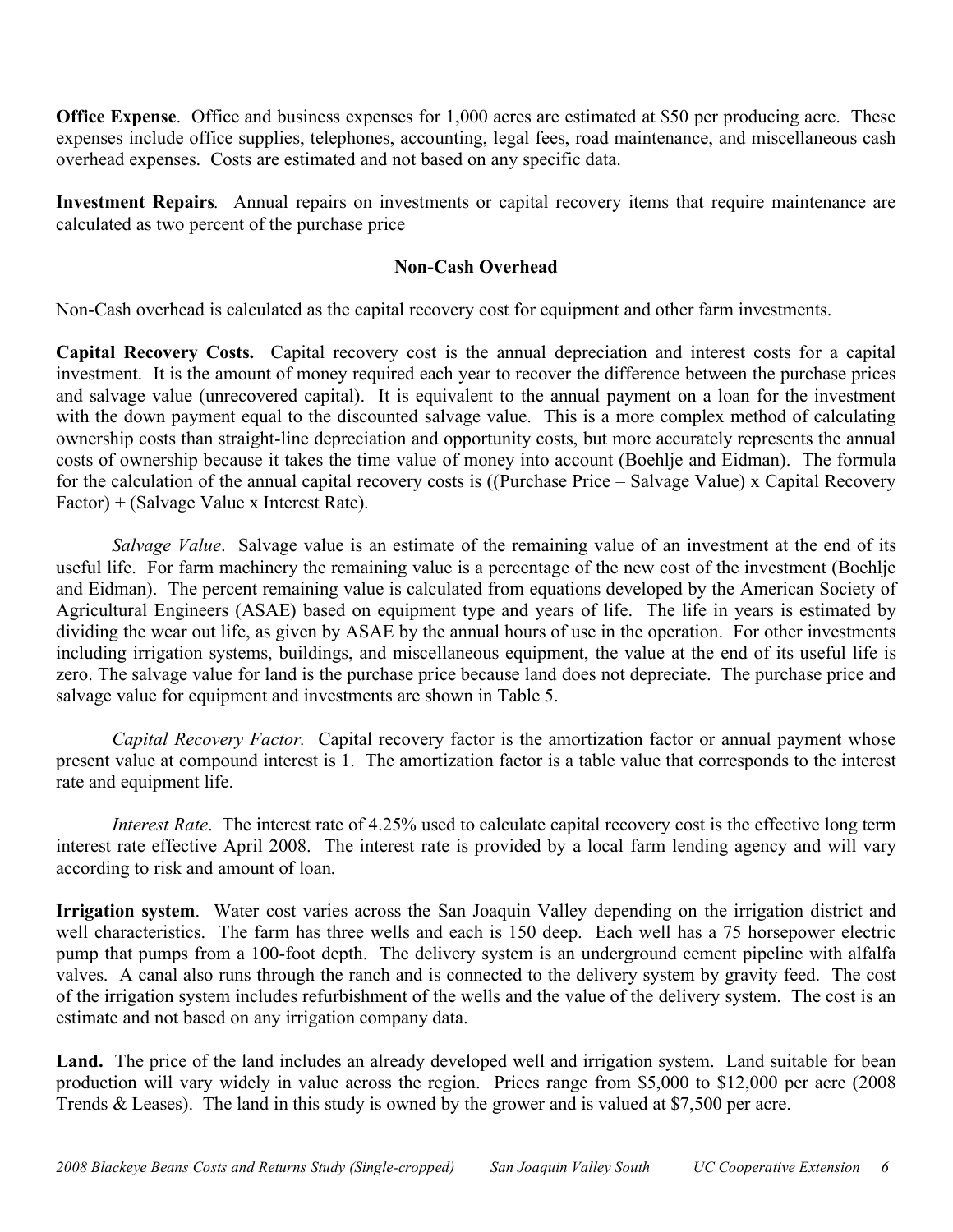**Office Expense**. Office and business expenses for 1,000 acres are estimated at \$50 per producing acre. These expenses include office supplies, telephones, accounting, legal fees, road maintenance, and miscellaneous cash overhead expenses. Costs are estimated and not based on any specific data.

**Investment Repairs***.* Annual repairs on investments or capital recovery items that require maintenance are calculated as two percent of the purchase price

# **Non-Cash Overhead**

Non-Cash overhead is calculated as the capital recovery cost for equipment and other farm investments.

**Capital Recovery Costs.** Capital recovery cost is the annual depreciation and interest costs for a capital investment. It is the amount of money required each year to recover the difference between the purchase prices and salvage value (unrecovered capital). It is equivalent to the annual payment on a loan for the investment with the down payment equal to the discounted salvage value. This is a more complex method of calculating ownership costs than straight-line depreciation and opportunity costs, but more accurately represents the annual costs of ownership because it takes the time value of money into account (Boehlje and Eidman). The formula for the calculation of the annual capital recovery costs is ((Purchase Price – Salvage Value) x Capital Recovery Factor) + (Salvage Value x Interest Rate).

*Salvage Value*. Salvage value is an estimate of the remaining value of an investment at the end of its useful life. For farm machinery the remaining value is a percentage of the new cost of the investment (Boehlje and Eidman). The percent remaining value is calculated from equations developed by the American Society of Agricultural Engineers (ASAE) based on equipment type and years of life. The life in years is estimated by dividing the wear out life, as given by ASAE by the annual hours of use in the operation. For other investments including irrigation systems, buildings, and miscellaneous equipment, the value at the end of its useful life is zero. The salvage value for land is the purchase price because land does not depreciate. The purchase price and salvage value for equipment and investments are shown in Table 5.

*Capital Recovery Factor.* Capital recovery factor is the amortization factor or annual payment whose present value at compound interest is 1. The amortization factor is a table value that corresponds to the interest rate and equipment life.

*Interest Rate*. The interest rate of 4.25% used to calculate capital recovery cost is the effective long term interest rate effective April 2008. The interest rate is provided by a local farm lending agency and will vary according to risk and amount of loan.

**Irrigation system**. Water cost varies across the San Joaquin Valley depending on the irrigation district and well characteristics. The farm has three wells and each is 150 deep. Each well has a 75 horsepower electric pump that pumps from a 100-foot depth. The delivery system is an underground cement pipeline with alfalfa valves. A canal also runs through the ranch and is connected to the delivery system by gravity feed. The cost of the irrigation system includes refurbishment of the wells and the value of the delivery system. The cost is an estimate and not based on any irrigation company data.

Land. The price of the land includes an already developed well and irrigation system. Land suitable for bean production will vary widely in value across the region. Prices range from \$5,000 to \$12,000 per acre (2008 Trends & Leases). The land in this study is owned by the grower and is valued at \$7,500 per acre.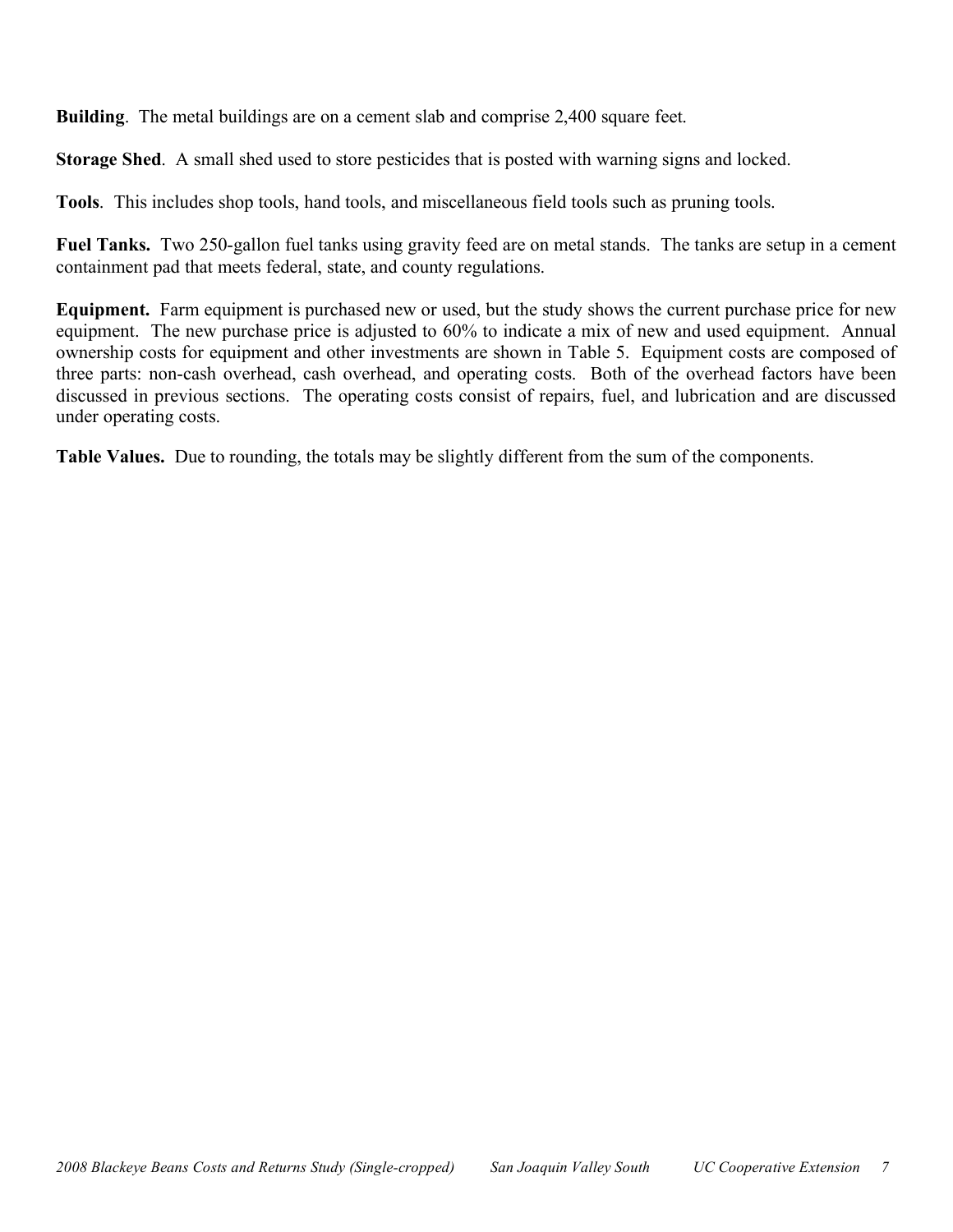**Building**. The metal buildings are on a cement slab and comprise 2,400 square feet.

**Storage Shed**. A small shed used to store pesticides that is posted with warning signs and locked.

**Tools**. This includes shop tools, hand tools, and miscellaneous field tools such as pruning tools.

**Fuel Tanks.** Two 250-gallon fuel tanks using gravity feed are on metal stands. The tanks are setup in a cement containment pad that meets federal, state, and county regulations.

**Equipment.** Farm equipment is purchased new or used, but the study shows the current purchase price for new equipment. The new purchase price is adjusted to 60% to indicate a mix of new and used equipment. Annual ownership costs for equipment and other investments are shown in Table 5. Equipment costs are composed of three parts: non-cash overhead, cash overhead, and operating costs. Both of the overhead factors have been discussed in previous sections. The operating costs consist of repairs, fuel, and lubrication and are discussed under operating costs.

**Table Values.** Due to rounding, the totals may be slightly different from the sum of the components.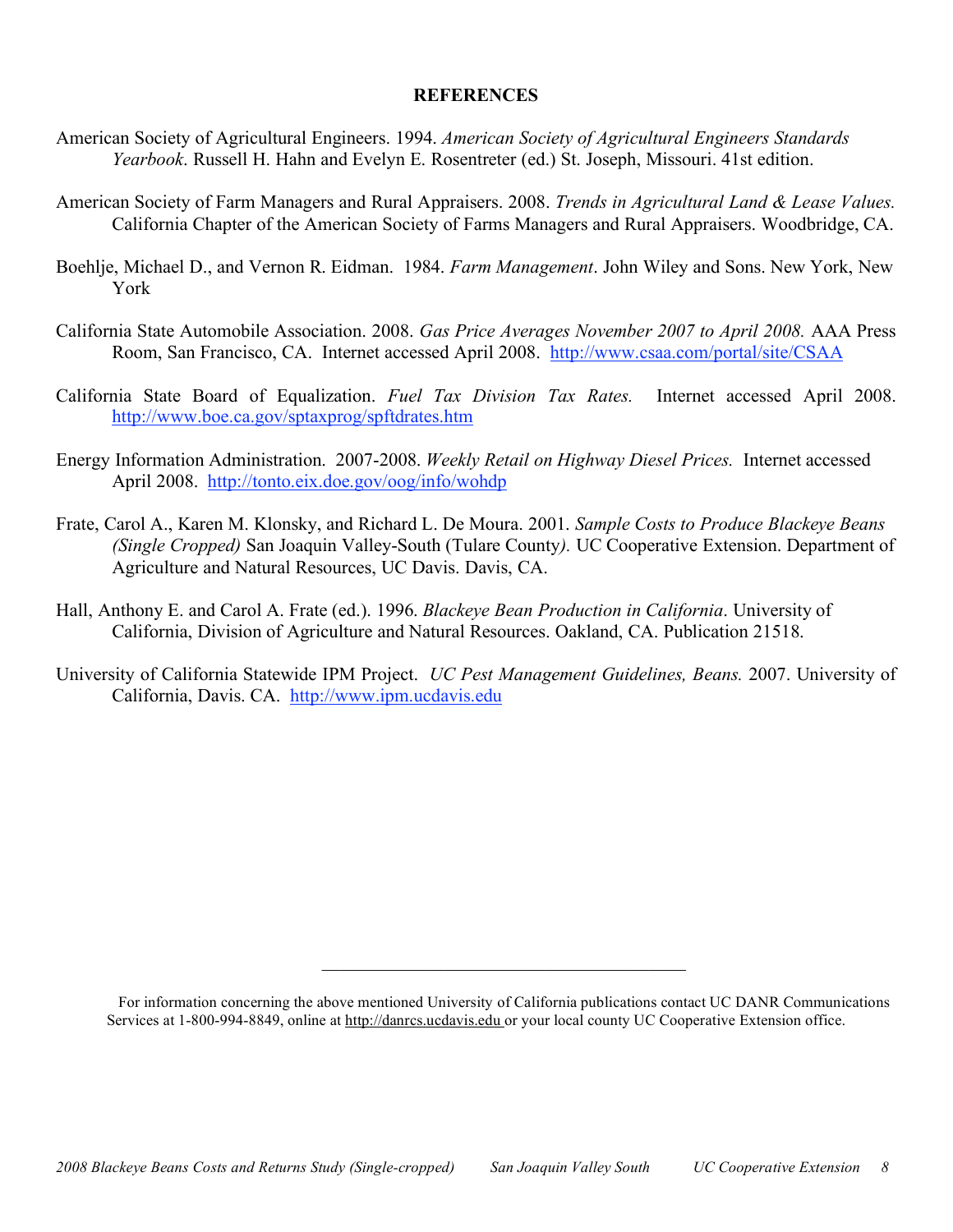## **REFERENCES**

- American Society of Agricultural Engineers. 1994. *American Society of Agricultural Engineers Standards Yearbook*. Russell H. Hahn and Evelyn E. Rosentreter (ed.) St. Joseph, Missouri. 41st edition.
- American Society of Farm Managers and Rural Appraisers. 2008. *Trends in Agricultural Land & Lease Values.* California Chapter of the American Society of Farms Managers and Rural Appraisers. Woodbridge, CA.
- Boehlje, Michael D., and Vernon R. Eidman. 1984. *Farm Management*. John Wiley and Sons. New York, New York
- California State Automobile Association. 2008. *Gas Price Averages November 2007 to April 2008.* AAA Press Room, San Francisco, CA. Internet accessed April 2008. http://www.csaa.com/portal/site/CSAA
- California State Board of Equalization. *Fuel Tax Division Tax Rates.* Internet accessed April 2008. http://www.boe.ca.gov/sptaxprog/spftdrates.htm
- Energy Information Administration. 2007-2008. *Weekly Retail on Highway Diesel Prices.* Internet accessed April 2008. http://tonto.eix.doe.gov/oog/info/wohdp
- Frate, Carol A., Karen M. Klonsky, and Richard L. De Moura. 2001. *Sample Costs to Produce Blackeye Beans (Single Cropped)* San Joaquin Valley-South (Tulare County*).* UC Cooperative Extension. Department of Agriculture and Natural Resources, UC Davis. Davis, CA.
- Hall, Anthony E. and Carol A. Frate (ed.). 1996. *Blackeye Bean Production in California*. University of California, Division of Agriculture and Natural Resources. Oakland, CA. Publication 21518.
- University of California Statewide IPM Project. *UC Pest Management Guidelines, Beans.* 2007. University of California, Davis. CA. http://www.ipm.ucdavis.edu

 $\mathcal{L}_\text{max}$  and  $\mathcal{L}_\text{max}$  and  $\mathcal{L}_\text{max}$  and  $\mathcal{L}_\text{max}$ 

For information concerning the above mentioned University of California publications contact UC DANR Communications Services at 1-800-994-8849, online at http://danrcs.ucdavis.edu or your local county UC Cooperative Extension office.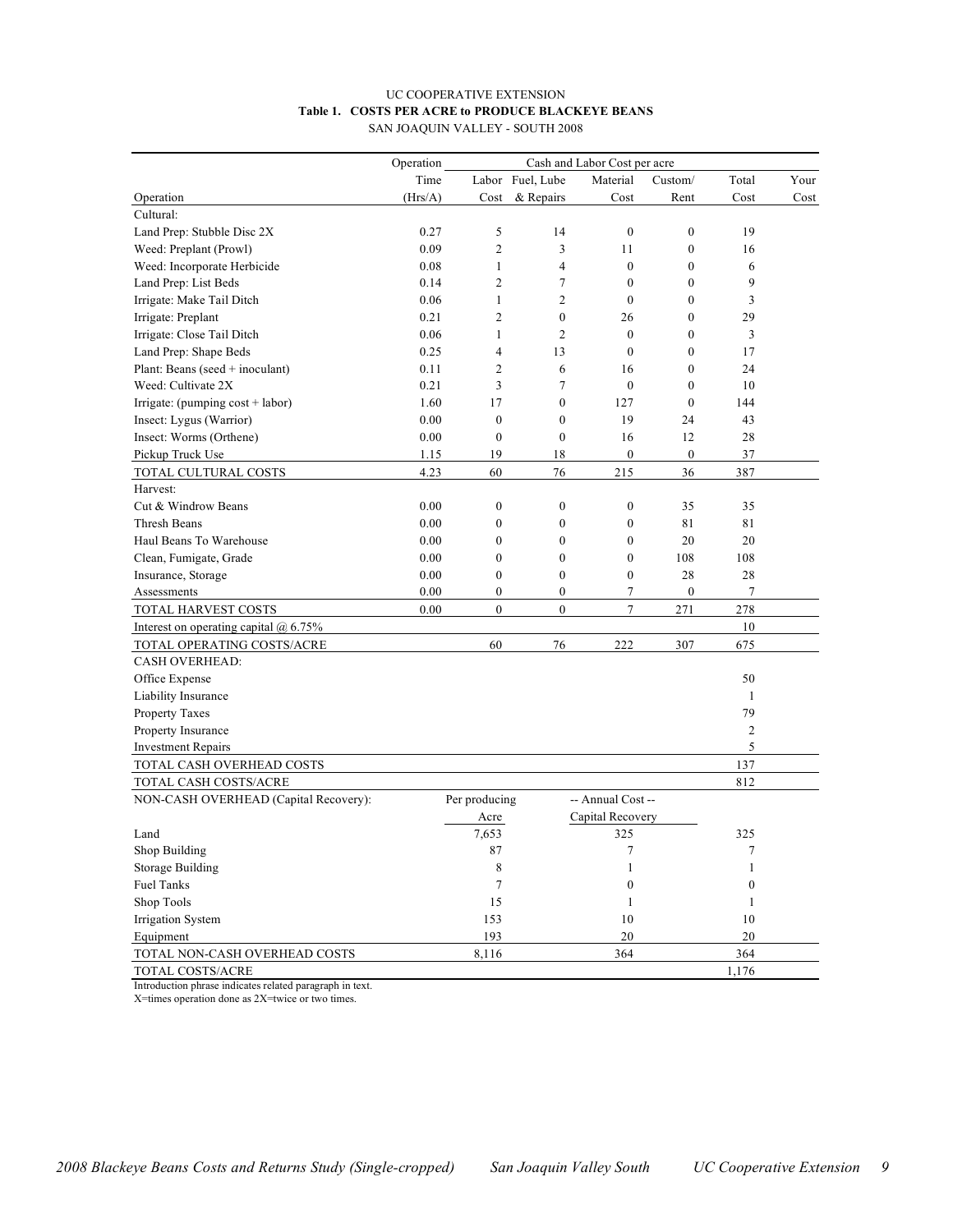#### UC COOPERATIVE EXTENSION **Table 1. COSTS PER ACRE to PRODUCE BLACKEYE BEANS** SAN JOAQUIN VALLEY - SOUTH 2008

|                                         | Operation<br>Cash and Labor Cost per acre |                  |                  |                   |                  |              |      |
|-----------------------------------------|-------------------------------------------|------------------|------------------|-------------------|------------------|--------------|------|
|                                         | Time                                      |                  | Labor Fuel, Lube | Material          | Custom/          | Total        | Your |
| Operation                               | (Hrs/A)                                   | Cost             | & Repairs        | Cost              | Rent             | Cost         | Cost |
| Cultural:                               |                                           |                  |                  |                   |                  |              |      |
| Land Prep: Stubble Disc 2X              | 0.27                                      | 5                | 14               | $\boldsymbol{0}$  | $\boldsymbol{0}$ | 19           |      |
| Weed: Preplant (Prowl)                  | 0.09                                      | $\overline{c}$   | 3                | 11                | $\mathbf{0}$     | 16           |      |
| Weed: Incorporate Herbicide             | 0.08                                      | 1                | 4                | $\mathbf{0}$      | $\mathbf{0}$     | 6            |      |
| Land Prep: List Beds                    | 0.14                                      | $\overline{c}$   | 7                | $\theta$          | $\mathbf{0}$     | 9            |      |
| Irrigate: Make Tail Ditch               | 0.06                                      | $\mathbf{1}$     | 2                | $\mathbf{0}$      | 0                | 3            |      |
| Irrigate: Preplant                      | 0.21                                      | $\mathfrak{2}$   | $\boldsymbol{0}$ | 26                | 0                | 29           |      |
| Irrigate: Close Tail Ditch              | 0.06                                      | 1                | 2                | $\theta$          | 0                | 3            |      |
| Land Prep: Shape Beds                   | 0.25                                      | $\overline{4}$   | 13               | $\mathbf{0}$      | $\overline{0}$   | 17           |      |
| Plant: Beans (seed $+$ inoculant)       | 0.11                                      | $\overline{c}$   | 6                | 16                | $\mathbf{0}$     | 24           |      |
| Weed: Cultivate 2X                      | 0.21                                      | 3                | 7                | $\mathbf{0}$      | $\mathbf{0}$     | 10           |      |
| Irrigate: (pumping $cost + labor$ )     | 1.60                                      | 17               | $\mathbf{0}$     | 127               | $\mathbf{0}$     | 144          |      |
| Insect: Lygus (Warrior)                 | 0.00                                      | $\mathbf{0}$     | $\boldsymbol{0}$ | 19                | 24               | 43           |      |
| Insect: Worms (Orthene)                 | 0.00                                      | $\mathbf{0}$     | $\mathbf{0}$     | 16                | 12               | 28           |      |
| Pickup Truck Use                        | 1.15                                      | 19               | 18               | $\mathbf{0}$      | $\boldsymbol{0}$ | 37           |      |
| TOTAL CULTURAL COSTS                    | 4.23                                      | 60               | 76               | 215               | 36               | 387          |      |
| Harvest:                                |                                           |                  |                  |                   |                  |              |      |
| Cut & Windrow Beans                     | 0.00                                      | $\boldsymbol{0}$ | $\boldsymbol{0}$ | $\boldsymbol{0}$  | 35               | 35           |      |
| Thresh Beans                            | 0.00                                      | $\boldsymbol{0}$ | $\boldsymbol{0}$ | $\boldsymbol{0}$  | 81               | 81           |      |
| Haul Beans To Warehouse                 | 0.00                                      | $\mathbf{0}$     | $\mathbf{0}$     | $\mathbf{0}$      | 20               | 20           |      |
| Clean, Fumigate, Grade                  | 0.00                                      | $\mathbf{0}$     | $\boldsymbol{0}$ | $\boldsymbol{0}$  | 108              | 108          |      |
| Insurance, Storage                      | 0.00                                      | $\mathbf{0}$     | $\mathbf{0}$     | $\mathbf{0}$      | 28               | 28           |      |
| Assessments                             | 0.00                                      | $\overline{0}$   | $\overline{0}$   | 7                 | $\boldsymbol{0}$ | 7            |      |
| TOTAL HARVEST COSTS                     | 0.00                                      | $\mathbf{0}$     | $\mathbf{0}$     | 7                 | 271              | 278          |      |
| Interest on operating capital $@$ 6.75% |                                           |                  |                  |                   |                  | 10           |      |
| TOTAL OPERATING COSTS/ACRE              |                                           | 60               | 76               | 222               | 307              | 675          |      |
| <b>CASH OVERHEAD:</b>                   |                                           |                  |                  |                   |                  |              |      |
| Office Expense                          |                                           |                  |                  |                   |                  | 50           |      |
| Liability Insurance                     |                                           |                  |                  |                   |                  | 1            |      |
| Property Taxes                          |                                           |                  |                  |                   |                  | 79           |      |
| Property Insurance                      |                                           |                  |                  |                   |                  | 2            |      |
| <b>Investment Repairs</b>               |                                           |                  |                  |                   |                  | 5            |      |
| TOTAL CASH OVERHEAD COSTS               |                                           |                  |                  |                   |                  | 137          |      |
| TOTAL CASH COSTS/ACRE                   |                                           |                  |                  |                   |                  | 812          |      |
| NON-CASH OVERHEAD (Capital Recovery):   |                                           | Per producing    |                  | -- Annual Cost -- |                  |              |      |
|                                         |                                           | Acre             |                  | Capital Recovery  |                  |              |      |
| Land                                    |                                           | 7,653            |                  | 325               |                  | 325          |      |
| Shop Building                           |                                           | 87               |                  | 7                 |                  |              |      |
| <b>Storage Building</b>                 |                                           | 8                |                  | 1                 |                  | 1            |      |
| <b>Fuel Tanks</b>                       |                                           | $\tau$           |                  | $\boldsymbol{0}$  |                  | $\mathbf{0}$ |      |
| Shop Tools                              |                                           | 15               |                  | 1                 |                  | 1            |      |
| <b>Irrigation System</b>                |                                           | 153              |                  | 10                |                  | 10           |      |
| Equipment                               |                                           | 193              |                  | $20\,$            |                  | $20\,$       |      |
| TOTAL NON-CASH OVERHEAD COSTS           |                                           | 8,116            |                  | 364               |                  | 364          |      |
| TOTAL COSTS/ACRE                        |                                           |                  |                  |                   |                  | 1,176        |      |

Introduction phrase indicates related paragraph in text.

X=times operation done as 2X=twice or two times.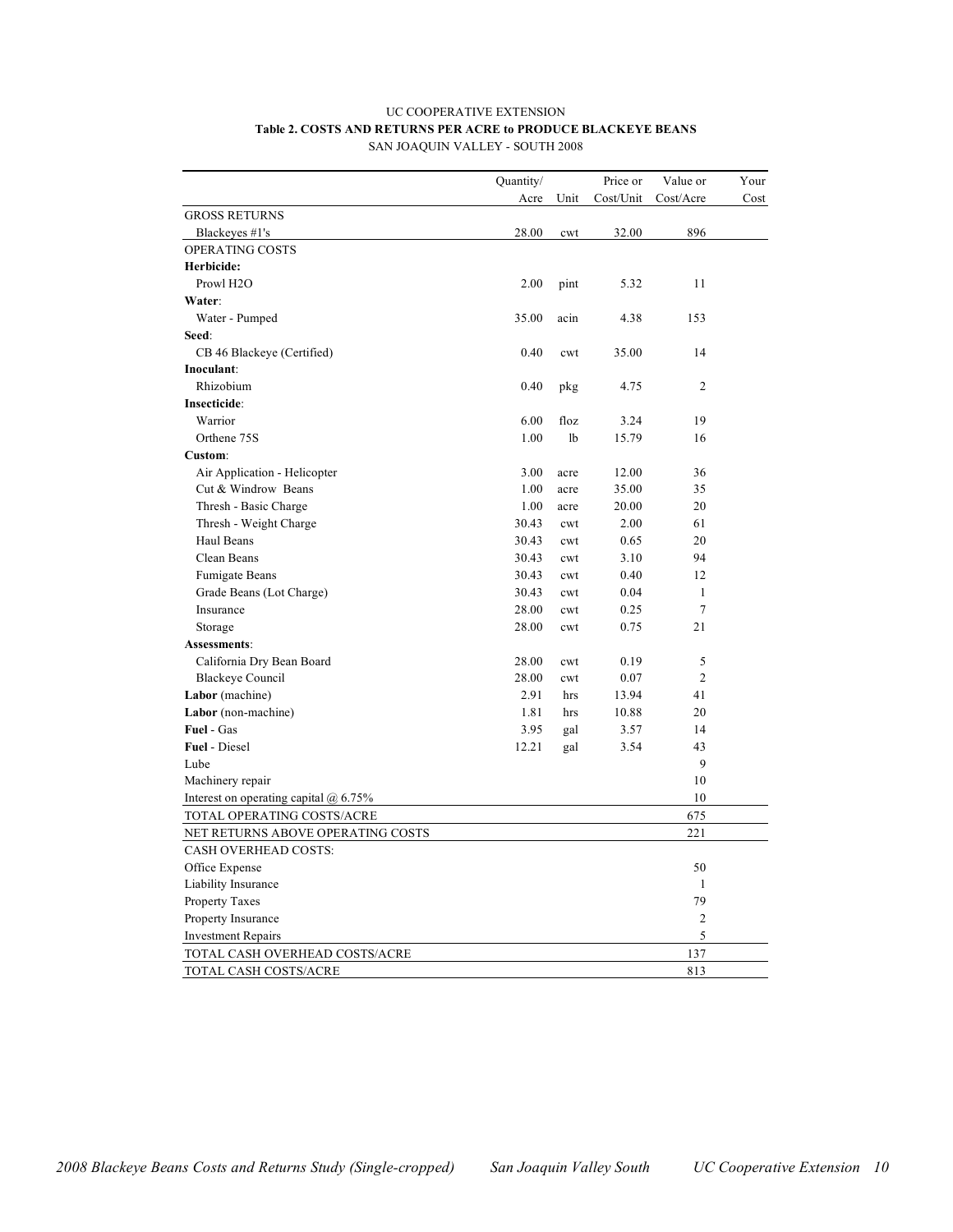#### UC COOPERATIVE EXTENSION **Table 2. COSTS AND RETURNS PER ACRE to PRODUCE BLACKEYE BEANS** SAN JOAQUIN VALLEY - SOUTH 2008

|                                         | Quantity/ |                | Price or  | Value or       | Your |
|-----------------------------------------|-----------|----------------|-----------|----------------|------|
|                                         | Acre      | Unit           | Cost/Unit | Cost/Acre      | Cost |
| <b>GROSS RETURNS</b>                    |           |                |           |                |      |
| Blackeyes #1's                          | 28.00     | cwt            | 32.00     | 896            |      |
| OPERATING COSTS                         |           |                |           |                |      |
| Herbicide:                              |           |                |           |                |      |
| Prowl H <sub>2</sub> O                  | 2.00      | pint           | 5.32      | 11             |      |
| Water:                                  |           |                |           |                |      |
| Water - Pumped                          | 35.00     | acin           | 4.38      | 153            |      |
| Seed:                                   |           |                |           |                |      |
| CB 46 Blackeye (Certified)              | 0.40      | cwt            | 35.00     | 14             |      |
| Inoculant:                              |           |                |           |                |      |
| Rhizobium                               | 0.40      | pkg            | 4.75      | $\overline{2}$ |      |
| Insecticide:                            |           |                |           |                |      |
| Warrior                                 | 6.00      | floz           | 3.24      | 19             |      |
| Orthene 75S                             | 1.00      | 1 <sub>b</sub> | 15.79     | 16             |      |
| Custom:                                 |           |                |           |                |      |
| Air Application - Helicopter            | 3.00      | acre           | 12.00     | 36             |      |
| Cut & Windrow Beans                     | 1.00      | acre           | 35.00     | 35             |      |
| Thresh - Basic Charge                   | 1.00      | acre           | 20.00     | 20             |      |
| Thresh - Weight Charge                  | 30.43     | cwt            | 2.00      | 61             |      |
| Haul Beans                              | 30.43     | cwt            | 0.65      | 20             |      |
| Clean Beans                             | 30.43     | cwt            | 3.10      | 94             |      |
| Fumigate Beans                          | 30.43     | cwt            | 0.40      | 12             |      |
| Grade Beans (Lot Charge)                | 30.43     | cwt            | 0.04      | 1              |      |
| Insurance                               | 28.00     | cwt            | 0.25      | 7              |      |
| Storage                                 | 28.00     | cwt            | 0.75      | 21             |      |
| Assessments:                            |           |                |           |                |      |
| California Dry Bean Board               | 28.00     | cwt            | 0.19      | 5              |      |
| <b>Blackeye Council</b>                 | 28.00     | cwt            | 0.07      | $\overline{2}$ |      |
| Labor (machine)                         | 2.91      | hrs            | 13.94     | 41             |      |
| Labor (non-machine)                     | 1.81      | hrs            | 10.88     | 20             |      |
| Fuel - Gas                              | 3.95      | gal            | 3.57      | 14             |      |
| <b>Fuel</b> - Diesel                    | 12.21     | gal            | 3.54      | 43             |      |
| Lube                                    |           |                |           | 9              |      |
| Machinery repair                        |           |                |           | 10             |      |
| Interest on operating capital $@$ 6.75% |           |                |           | 10             |      |
| TOTAL OPERATING COSTS/ACRE              |           |                |           | 675            |      |
| NET RETURNS ABOVE OPERATING COSTS       |           |                |           | 221            |      |
| <b>CASH OVERHEAD COSTS:</b>             |           |                |           |                |      |
| Office Expense                          |           |                |           | 50             |      |
| Liability Insurance                     |           |                |           | 1              |      |
| Property Taxes                          |           |                |           | 79             |      |
| Property Insurance                      |           |                |           | $\sqrt{2}$     |      |
| <b>Investment Repairs</b>               |           |                |           | 5              |      |
| TOTAL CASH OVERHEAD COSTS/ACRE          |           |                |           | 137            |      |
| TOTAL CASH COSTS/ACRE                   |           |                |           | 813            |      |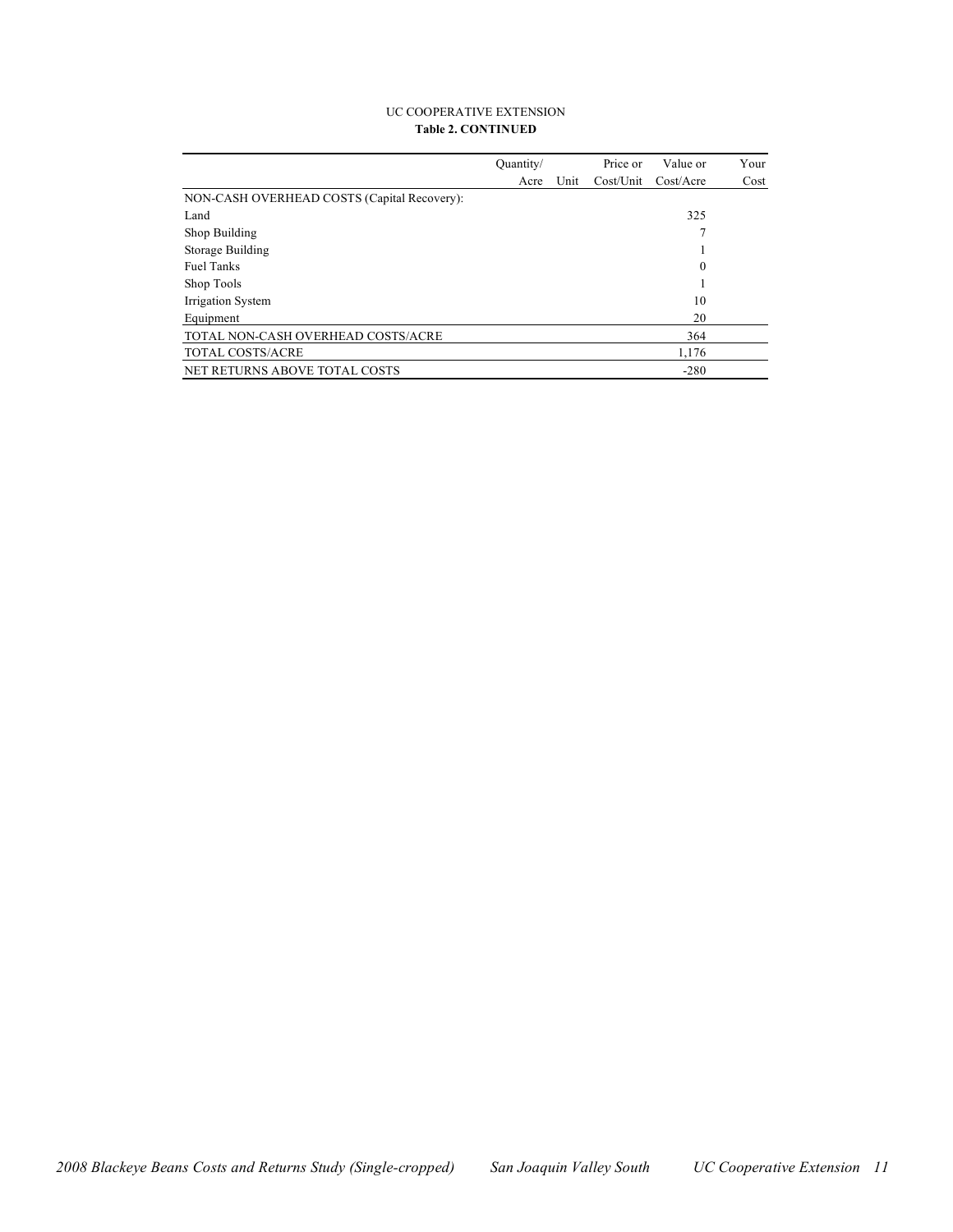#### UC COOPERATIVE EXTENSION **Table 2. CONTINUED**

|                                             | Ouantity/ |      | Price or  | Value or   | Your |
|---------------------------------------------|-----------|------|-----------|------------|------|
|                                             | Acre      | Unit | Cost/Unit | Cost/Accre | Cost |
| NON-CASH OVERHEAD COSTS (Capital Recovery): |           |      |           |            |      |
| Land                                        |           |      |           | 325        |      |
| Shop Building                               |           |      |           |            |      |
| Storage Building                            |           |      |           |            |      |
| <b>Fuel Tanks</b>                           |           |      |           | 0          |      |
| Shop Tools                                  |           |      |           |            |      |
| Irrigation System                           |           |      |           | 10         |      |
| Equipment                                   |           |      |           | 20         |      |
| TOTAL NON-CASH OVERHEAD COSTS/ACRE          |           |      |           | 364        |      |
| TOTAL COSTS/ACRE                            |           |      |           | 1,176      |      |
| <b>NET RETURNS ABOVE TOTAL COSTS</b>        |           |      |           | $-280$     |      |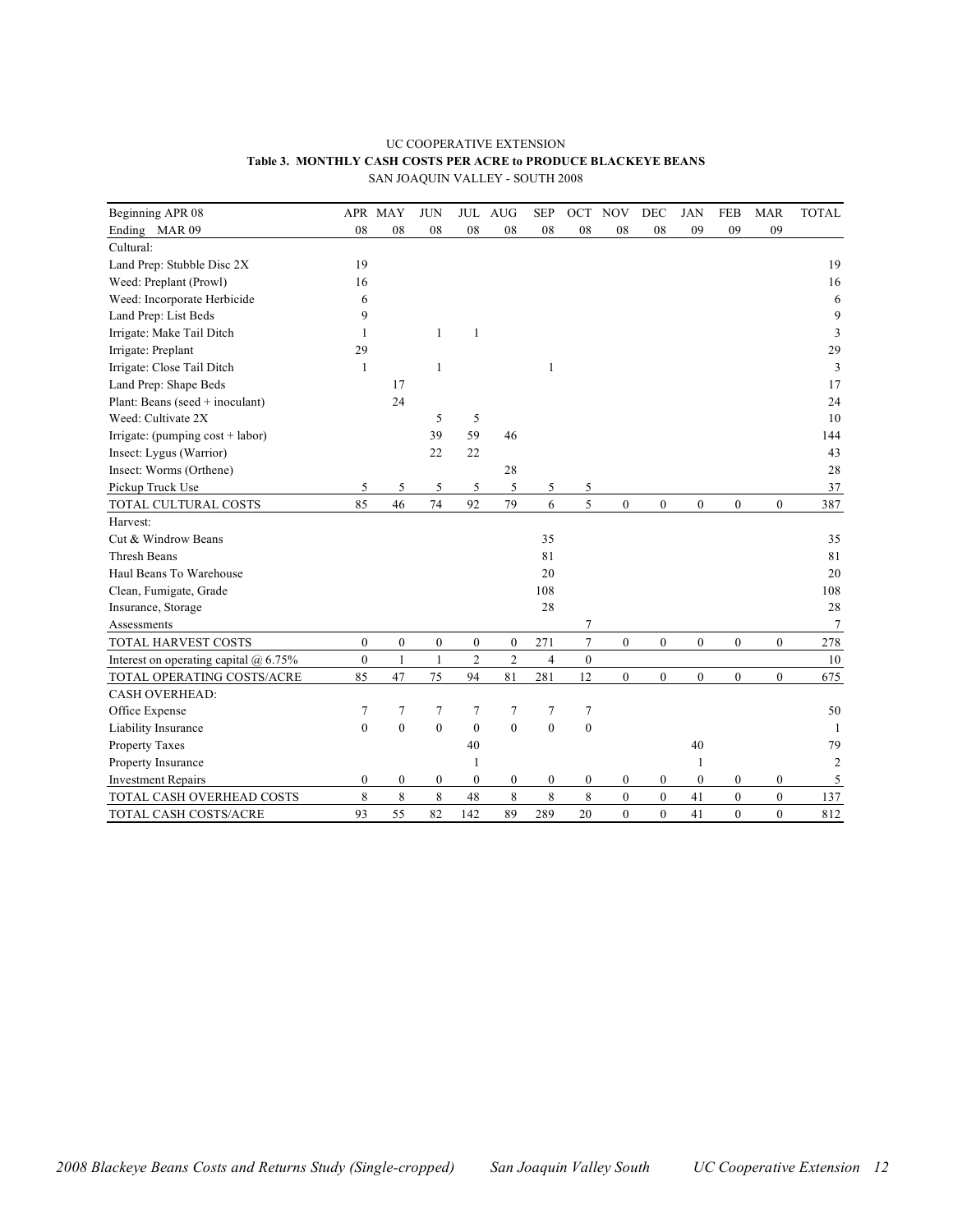#### UC COOPERATIVE EXTENSION **Table 3. MONTHLY CASH COSTS PER ACRE to PRODUCE BLACKEYE BEANS** SAN JOAQUIN VALLEY - SOUTH 2008

| Beginning APR 08                        |                  | APR MAY          | <b>JUN</b>       | <b>JUL</b>       | <b>AUG</b>       | <b>SEP</b>       | OCT              | <b>NOV</b>       | <b>DEC</b>       | <b>JAN</b>       | <b>FEB</b>       | <b>MAR</b>       | <b>TOTAL</b>   |
|-----------------------------------------|------------------|------------------|------------------|------------------|------------------|------------------|------------------|------------------|------------------|------------------|------------------|------------------|----------------|
| Ending MAR 09                           | 08               | 08               | 08               | 08               | 08               | 08               | 08               | 08               | 08               | 09               | 09               | 09               |                |
| Cultural:                               |                  |                  |                  |                  |                  |                  |                  |                  |                  |                  |                  |                  |                |
| Land Prep: Stubble Disc 2X              | 19               |                  |                  |                  |                  |                  |                  |                  |                  |                  |                  |                  | 19             |
| Weed: Preplant (Prowl)                  | 16               |                  |                  |                  |                  |                  |                  |                  |                  |                  |                  |                  | 16             |
| Weed: Incorporate Herbicide             | 6                |                  |                  |                  |                  |                  |                  |                  |                  |                  |                  |                  | 6              |
| Land Prep: List Beds                    | 9                |                  |                  |                  |                  |                  |                  |                  |                  |                  |                  |                  | 9              |
| Irrigate: Make Tail Ditch               | $\mathbf{1}$     |                  | $\mathbf{1}$     | $\mathbf{1}$     |                  |                  |                  |                  |                  |                  |                  |                  | 3              |
| Irrigate: Preplant                      | 29               |                  |                  |                  |                  |                  |                  |                  |                  |                  |                  |                  | 29             |
| Irrigate: Close Tail Ditch              | $\mathbf{1}$     |                  | $\mathbf{1}$     |                  |                  | 1                |                  |                  |                  |                  |                  |                  | 3              |
| Land Prep: Shape Beds                   |                  | 17               |                  |                  |                  |                  |                  |                  |                  |                  |                  |                  | 17             |
| Plant: Beans (seed + inoculant)         |                  | 24               |                  |                  |                  |                  |                  |                  |                  |                  |                  |                  | 24             |
| Weed: Cultivate 2X                      |                  |                  | 5                | 5                |                  |                  |                  |                  |                  |                  |                  |                  | 10             |
| Irrigate: (pumping $cost + labor$ )     |                  |                  | 39               | 59               | 46               |                  |                  |                  |                  |                  |                  |                  | 144            |
| Insect: Lygus (Warrior)                 |                  |                  | 22               | 22               |                  |                  |                  |                  |                  |                  |                  |                  | 43             |
| Insect: Worms (Orthene)                 |                  |                  |                  |                  | 28               |                  |                  |                  |                  |                  |                  |                  | 28             |
| Pickup Truck Use                        | 5                | 5                | 5                | 5                | 5                | 5                | 5                |                  |                  |                  |                  |                  | 37             |
| TOTAL CULTURAL COSTS                    | 85               | 46               | 74               | 92               | 79               | 6                | 5                | $\boldsymbol{0}$ | $\boldsymbol{0}$ | $\boldsymbol{0}$ | $\boldsymbol{0}$ | $\boldsymbol{0}$ | 387            |
| Harvest:                                |                  |                  |                  |                  |                  |                  |                  |                  |                  |                  |                  |                  |                |
| Cut & Windrow Beans                     |                  |                  |                  |                  |                  | 35               |                  |                  |                  |                  |                  |                  | 35             |
| <b>Thresh Beans</b>                     |                  |                  |                  |                  |                  | 81               |                  |                  |                  |                  |                  |                  | 81             |
| Haul Beans To Warehouse                 |                  |                  |                  |                  |                  | 20               |                  |                  |                  |                  |                  |                  | 20             |
| Clean, Fumigate, Grade                  |                  |                  |                  |                  |                  | 108              |                  |                  |                  |                  |                  |                  | 108            |
| Insurance, Storage                      |                  |                  |                  |                  |                  | 28               |                  |                  |                  |                  |                  |                  | 28             |
| Assessments                             |                  |                  |                  |                  |                  |                  | 7                |                  |                  |                  |                  |                  | 7              |
| TOTAL HARVEST COSTS                     | $\boldsymbol{0}$ | $\boldsymbol{0}$ | $\boldsymbol{0}$ | $\boldsymbol{0}$ | $\boldsymbol{0}$ | 271              | $\overline{7}$   | $\mathbf{0}$     | $\overline{0}$   | $\boldsymbol{0}$ | $\mathbf{0}$     | $\boldsymbol{0}$ | 278            |
| Interest on operating capital $@$ 6.75% | $\boldsymbol{0}$ | $\mathbf{1}$     | $\mathbf{1}$     | $\overline{c}$   | $\overline{2}$   | $\overline{4}$   | $\boldsymbol{0}$ |                  |                  |                  |                  |                  | $10\,$         |
| TOTAL OPERATING COSTS/ACRE              | 85               | 47               | 75               | 94               | 81               | 281              | 12               | $\mathbf{0}$     | $\boldsymbol{0}$ | $\boldsymbol{0}$ | $\boldsymbol{0}$ | $\boldsymbol{0}$ | 675            |
| <b>CASH OVERHEAD:</b>                   |                  |                  |                  |                  |                  |                  |                  |                  |                  |                  |                  |                  |                |
| Office Expense                          | 7                | 7                | 7                | 7                | $\overline{7}$   | 7                | $\overline{7}$   |                  |                  |                  |                  |                  | 50             |
| Liability Insurance                     | $\boldsymbol{0}$ | $\mathbf{0}$     | $\mathbf{0}$     | $\mathbf{0}$     | $\mathbf{0}$     | $\mathbf{0}$     | $\boldsymbol{0}$ |                  |                  |                  |                  |                  | 1              |
| Property Taxes                          |                  |                  |                  | 40               |                  |                  |                  |                  |                  | 40               |                  |                  | 79             |
| Property Insurance                      |                  |                  |                  | $\mathbf{1}$     |                  |                  |                  |                  |                  | 1                |                  |                  | $\overline{c}$ |
| <b>Investment Repairs</b>               | $\boldsymbol{0}$ | $\boldsymbol{0}$ | $\boldsymbol{0}$ | $\boldsymbol{0}$ | $\boldsymbol{0}$ | $\boldsymbol{0}$ | $\boldsymbol{0}$ | $\boldsymbol{0}$ | $\boldsymbol{0}$ | $\boldsymbol{0}$ | $\boldsymbol{0}$ | $\boldsymbol{0}$ | 5              |
| TOTAL CASH OVERHEAD COSTS               | $\,$ 8 $\,$      | $\,$ 8 $\,$      | $\,$ 8 $\,$      | 48               | 8                | 8                | $\,$ 8 $\,$      | $\boldsymbol{0}$ | $\boldsymbol{0}$ | 41               | $\boldsymbol{0}$ | $\boldsymbol{0}$ | 137            |
| TOTAL CASH COSTS/ACRE                   | 93               | 55               | 82               | 142              | 89               | 289              | 20               | $\mathbf{0}$     | $\overline{0}$   | 41               | $\mathbf{0}$     | $\mathbf{0}$     | 812            |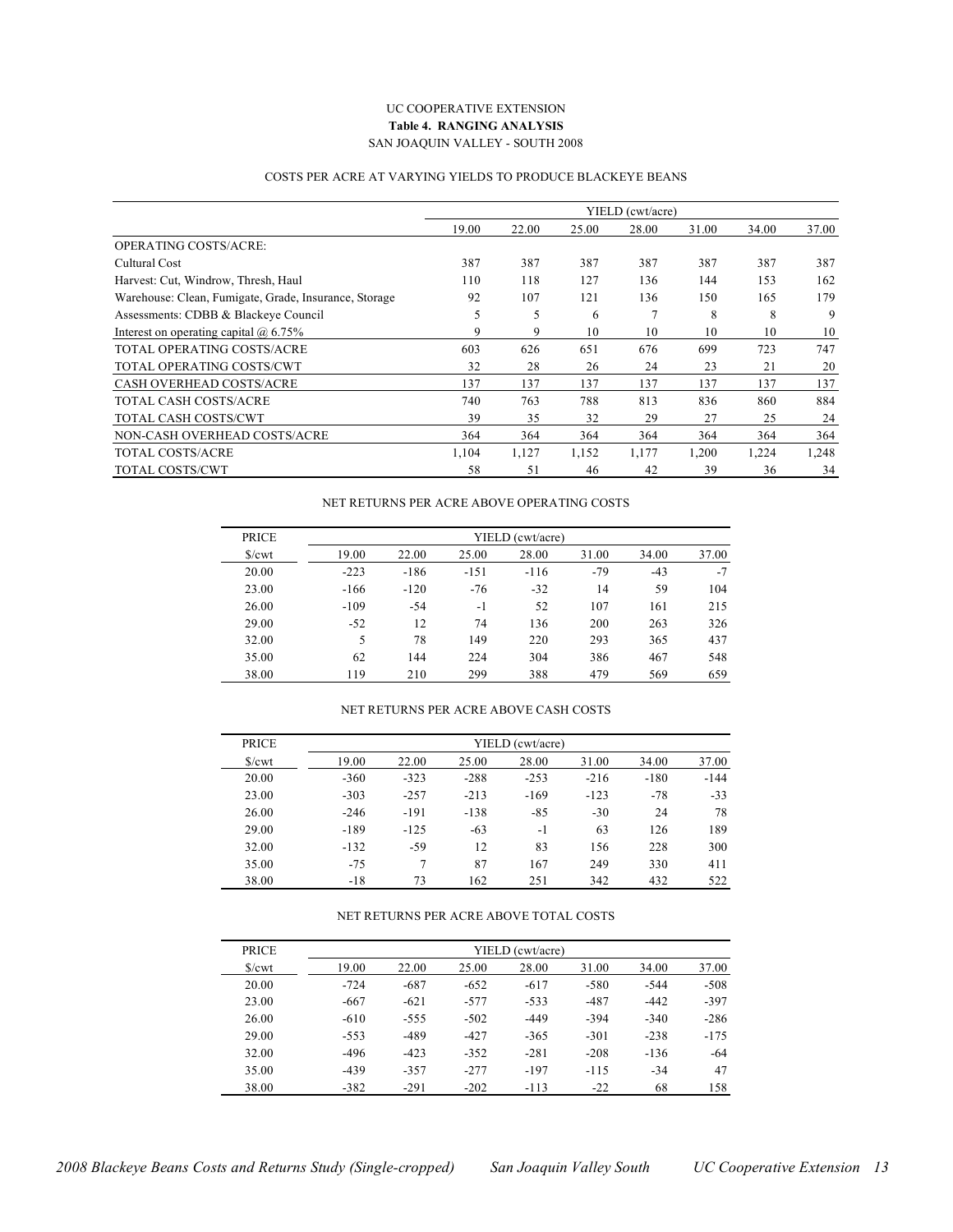#### UC COOPERATIVE EXTENSION **Table 4. RANGING ANALYSIS** SAN JOAQUIN VALLEY - SOUTH 2008

#### COSTS PER ACRE AT VARYING YIELDS TO PRODUCE BLACKEYE BEANS

|                                                       |       |       |       | YIELD (cwt/acre) |       |       |       |
|-------------------------------------------------------|-------|-------|-------|------------------|-------|-------|-------|
|                                                       | 19.00 | 22.00 | 25.00 | 28.00            | 31.00 | 34.00 | 37.00 |
| <b>OPERATING COSTS/ACRE:</b>                          |       |       |       |                  |       |       |       |
| Cultural Cost                                         | 387   | 387   | 387   | 387              | 387   | 387   | 387   |
| Harvest: Cut, Windrow, Thresh, Haul                   | 110   | 118   | 127   | 136              | 144   | 153   | 162   |
| Warehouse: Clean, Fumigate, Grade, Insurance, Storage | 92    | 107   | 121   | 136              | 150   | 165   | 179   |
| Assessments: CDBB & Blackeve Council                  | 5     | 5     | 6     | $\mathcal{I}$    | 8     | 8     | 9     |
| Interest on operating capital $\omega$ 6.75%          | 9     | 9     | 10    | 10               | 10    | 10    | 10    |
| TOTAL OPERATING COSTS/ACRE                            | 603   | 626   | 651   | 676              | 699   | 723   | 747   |
| TOTAL OPERATING COSTS/CWT                             | 32    | 28    | 26    | 24               | 23    | 21    | 20    |
| <b>CASH OVERHEAD COSTS/ACRE</b>                       | 137   | 137   | 137   | 137              | 137   | 137   | 137   |
| <b>TOTAL CASH COSTS/ACRE</b>                          | 740   | 763   | 788   | 813              | 836   | 860   | 884   |
| TOTAL CASH COSTS/CWT                                  | 39    | 35    | 32    | 29               | 27    | 25    | 24    |
| NON-CASH OVERHEAD COSTS/ACRE                          | 364   | 364   | 364   | 364              | 364   | 364   | 364   |
| <b>TOTAL COSTS/ACRE</b>                               | 1,104 | 1,127 | 1,152 | 1,177            | 1,200 | 1,224 | 1,248 |
| TOTAL COSTS/CWT                                       | 58    | 51    | 46    | 42               | 39    | 36    | 34    |

#### NET RETURNS PER ACRE ABOVE OPERATING COSTS

| <b>PRICE</b>   |        |        |        | YIELD (cwt/acre) |       |       |       |
|----------------|--------|--------|--------|------------------|-------|-------|-------|
| $\sqrt{\}$ cwt | 19.00  | 22.00  | 25.00  | 28.00            | 31.00 | 34.00 | 37.00 |
| 20.00          | $-223$ | $-186$ | $-151$ | $-116$           | $-79$ | $-43$ | $-7$  |
| 23.00          | $-166$ | $-120$ | $-76$  | $-32$            | 14    | 59    | 104   |
| 26.00          | $-109$ | $-54$  | $-1$   | 52               | 107   | 161   | 215   |
| 29.00          | $-52$  | 12     | 74     | 136              | 200   | 263   | 326   |
| 32.00          | 5      | 78     | 149    | 220              | 293   | 365   | 437   |
| 35.00          | 62     | 144    | 224    | 304              | 386   | 467   | 548   |
| 38.00          | 119    | 210    | 299    | 388              | 479   | 569   | 659   |

#### NET RETURNS PER ACRE ABOVE CASH COSTS

| <b>PRICE</b>           |        |        |        | YIELD (cwt/acre) |        |        |        |
|------------------------|--------|--------|--------|------------------|--------|--------|--------|
| $\sqrt{\frac{2}{\pi}}$ | 19.00  | 22.00  | 25.00  | 28.00            | 31.00  | 34.00  | 37.00  |
| 20.00                  | $-360$ | $-323$ | $-288$ | $-253$           | $-216$ | $-180$ | $-144$ |
| 23.00                  | $-303$ | $-257$ | $-213$ | $-169$           | $-123$ | $-78$  | $-33$  |
| 26.00                  | $-246$ | $-191$ | $-138$ | $-85$            | $-30$  | 24     | 78     |
| 29.00                  | $-189$ | $-125$ | $-63$  | $-1$             | 63     | 126    | 189    |
| 32.00                  | $-132$ | $-59$  | 12     | 83               | 156    | 228    | 300    |
| 35.00                  | $-75$  | 7      | 87     | 167              | 249    | 330    | 411    |
| 38.00                  | $-18$  | 73     | 162    | 251              | 342    | 432    | 522    |

#### NET RETURNS PER ACRE ABOVE TOTAL COSTS

| <b>PRICE</b> |        |        |        | YIELD (cwt/acre) |        |        |        |
|--------------|--------|--------|--------|------------------|--------|--------|--------|
| S/cwt        | 19.00  | 22.00  | 25.00  | 28.00            | 31.00  | 34.00  | 37.00  |
| 20.00        | $-724$ | $-687$ | $-652$ | $-617$           | $-580$ | $-544$ | $-508$ |
| 23.00        | $-667$ | $-621$ | $-577$ | $-533$           | $-487$ | $-442$ | $-397$ |
| 26.00        | $-610$ | $-555$ | $-502$ | $-449$           | $-394$ | $-340$ | $-286$ |
| 29.00        | $-553$ | $-489$ | $-427$ | $-365$           | $-301$ | $-238$ | $-175$ |
| 32.00        | -496   | $-423$ | $-352$ | $-281$           | $-208$ | $-136$ | $-64$  |
| 35.00        | $-439$ | $-357$ | $-277$ | $-197$           | $-115$ | $-34$  | 47     |
| 38.00        | $-382$ | $-291$ | $-202$ | $-113$           | $-22$  | 68     | 158    |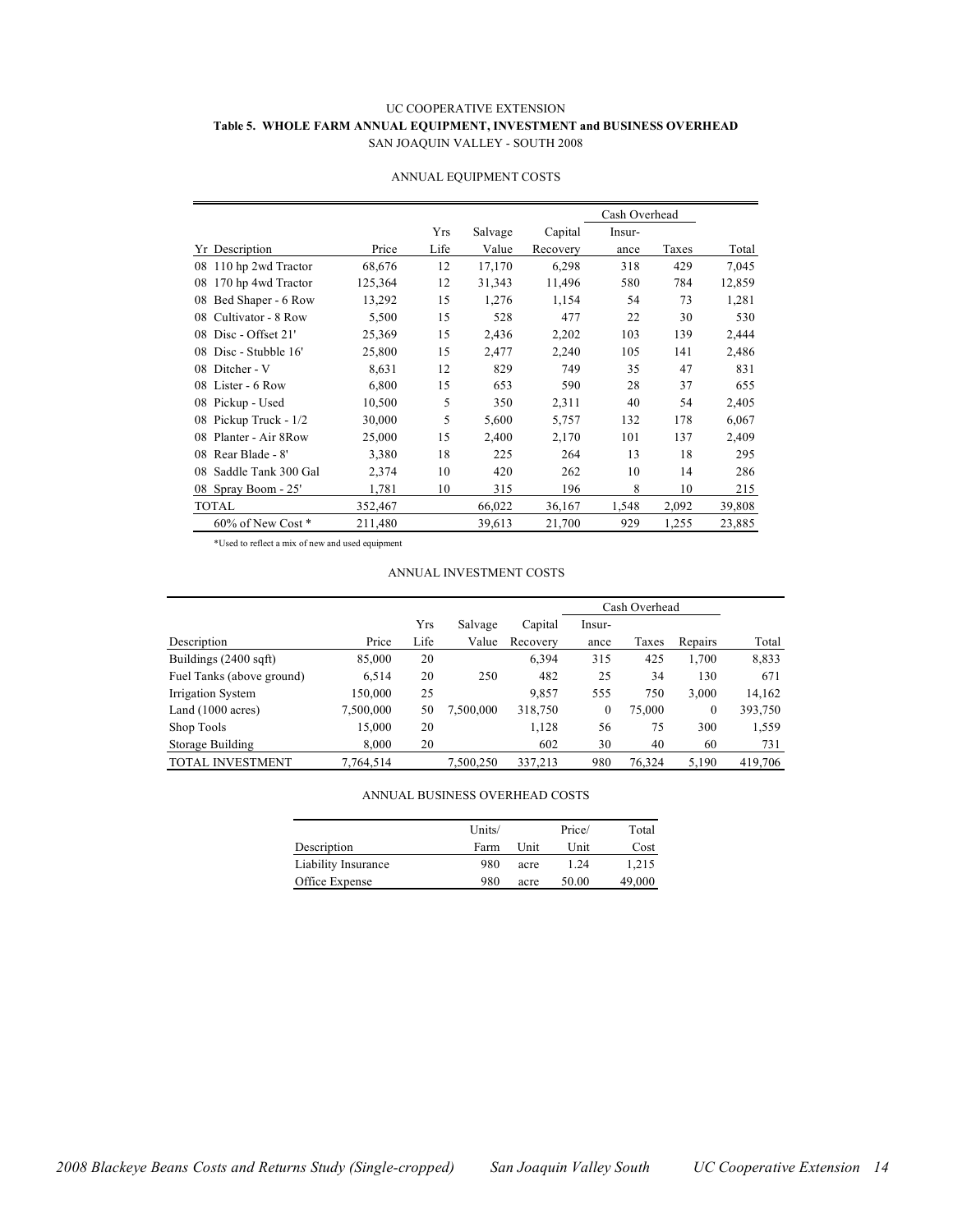#### UC COOPERATIVE EXTENSION **Table 5. WHOLE FARM ANNUAL EQUIPMENT, INVESTMENT and BUSINESS OVERHEAD** SAN JOAQUIN VALLEY - SOUTH 2008

|                           |         |      |         |          | Cash Overhead |       |        |  |
|---------------------------|---------|------|---------|----------|---------------|-------|--------|--|
|                           |         | Yrs  | Salvage | Capital  | Insur-        |       |        |  |
| Yr Description            | Price   | Life | Value   | Recovery | ance          | Taxes | Total  |  |
| 110 hp 2wd Tractor<br>08  | 68,676  | 12   | 17,170  | 6,298    | 318           | 429   | 7,045  |  |
| 170 hp 4wd Tractor<br>08  | 125,364 | 12   | 31,343  | 11,496   | 580           | 784   | 12,859 |  |
| Bed Shaper - 6 Row<br>08  | 13,292  | 15   | 1,276   | 1,154    | 54            | 73    | 1,281  |  |
| Cultivator - 8 Row<br>08  | 5,500   | 15   | 528     | 477      | 22            | 30    | 530    |  |
| Disc - Offset 21'<br>08   | 25,369  | 15   | 2,436   | 2,202    | 103           | 139   | 2,444  |  |
| Disc - Stubble 16'<br>08  | 25,800  | 15   | 2,477   | 2,240    | 105           | 141   | 2,486  |  |
| Ditcher - V<br>08         | 8,631   | 12   | 829     | 749      | 35            | 47    | 831    |  |
| Lister - 6 Row<br>08      | 6,800   | 15   | 653     | 590      | 28            | 37    | 655    |  |
| Pickup - Used<br>08       | 10,500  | 5    | 350     | 2,311    | 40            | 54    | 2,405  |  |
| Pickup Truck - 1/2<br>08  | 30,000  | 5    | 5,600   | 5,757    | 132           | 178   | 6,067  |  |
| Planter - Air 8 Row<br>08 | 25,000  | 15   | 2,400   | 2,170    | 101           | 137   | 2,409  |  |
| Rear Blade - 8'<br>08     | 3,380   | 18   | 225     | 264      | 13            | 18    | 295    |  |
| Saddle Tank 300 Gal<br>08 | 2,374   | 10   | 420     | 262      | 10            | 14    | 286    |  |
| Spray Boom - 25'<br>08    | 1,781   | 10   | 315     | 196      | 8             | 10    | 215    |  |
| <b>TOTAL</b>              | 352,467 |      | 66,022  | 36,167   | 1,548         | 2,092 | 39,808 |  |
| 60% of New Cost *         | 211,480 |      | 39,613  | 21,700   | 929           | 1,255 | 23,885 |  |

#### ANNUAL EQUIPMENT COSTS

\*Used to reflect a mix of new and used equipment

#### ANNUAL INVESTMENT COSTS

|                                 |           |            |           |          | Cash Overhead |        |              |         |
|---------------------------------|-----------|------------|-----------|----------|---------------|--------|--------------|---------|
|                                 |           | <b>Yrs</b> | Salvage   | Capital  | Insur-        |        |              |         |
| Description                     | Price     | Life       | Value     | Recovery | ance          | Taxes  | Repairs      | Total   |
| Buildings $(2400 \text{ sqft})$ | 85,000    | 20         |           | 6,394    | 315           | 425    | 1.700        | 8,833   |
| Fuel Tanks (above ground)       | 6,514     | 20         | 250       | 482      | 25            | 34     | 130          | 671     |
| Irrigation System               | 150.000   | 25         |           | 9,857    | 555           | 750    | 3.000        | 14,162  |
| Land $(1000 \text{ acres})$     | 7,500,000 | 50         | 7,500,000 | 318,750  | $\mathbf{0}$  | 75,000 | $\mathbf{0}$ | 393,750 |
| Shop Tools                      | 15,000    | 20         |           | 1,128    | 56            | 75     | 300          | 1,559   |
| Storage Building                | 8,000     | 20         |           | 602      | 30            | 40     | 60           | 731     |
| <b>TOTAL INVESTMENT</b>         | 7.764.514 |            | 7,500,250 | 337.213  | 980           | 76.324 | 5.190        | 419.706 |

ANNUAL BUSINESS OVERHEAD COSTS

|                     | Units/ |      | Price/ | Total  |
|---------------------|--------|------|--------|--------|
| Description         | Farm   | Unit | Unit   | Cost   |
| Liability Insurance | 980    | acre | 1.24   | 1.215  |
| Office Expense      | 980    | acre | 50.00  | 49,000 |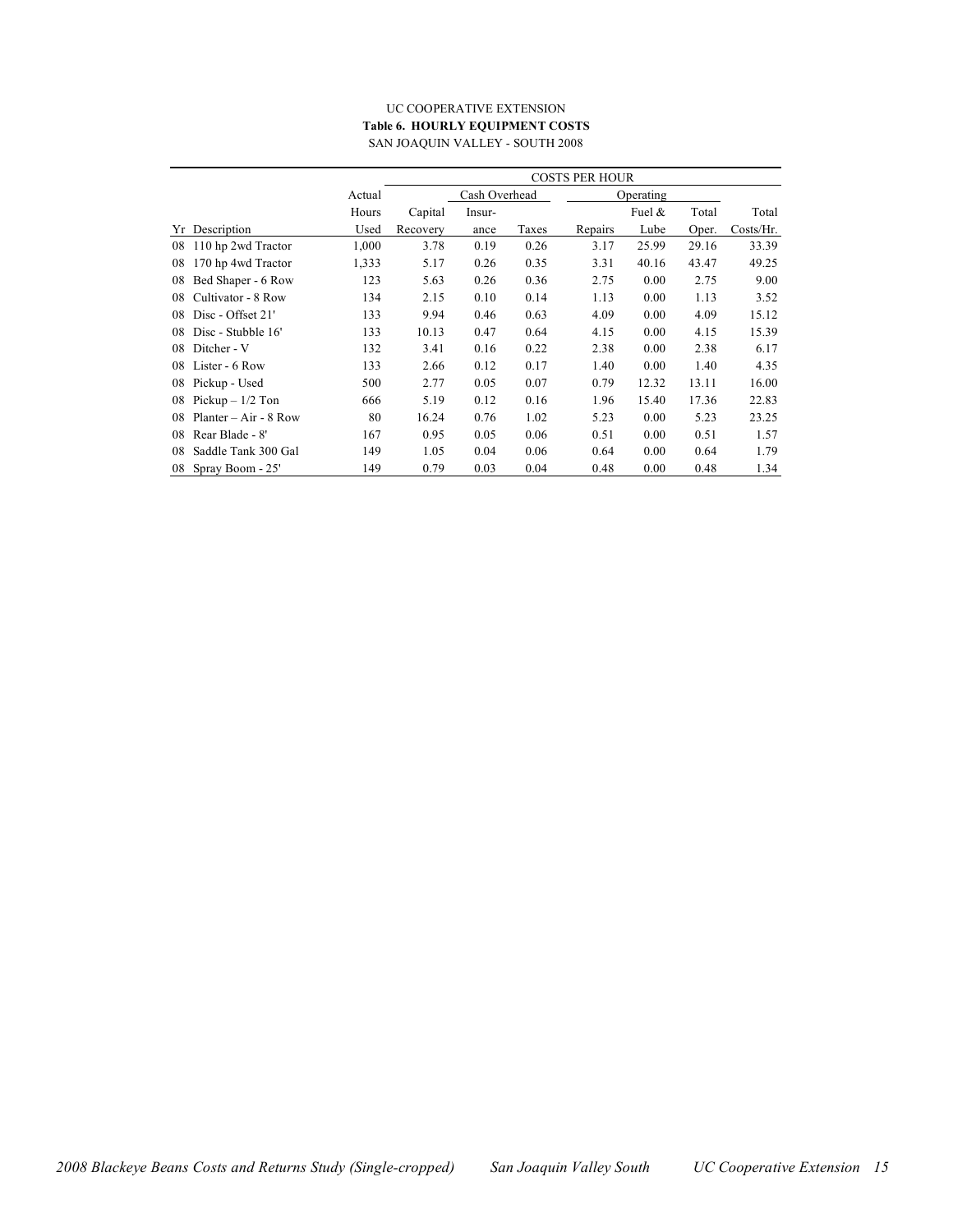#### UC COOPERATIVE EXTENSION **Table 6. HOURLY EQUIPMENT COSTS** SAN JOAQUIN VALLEY - SOUTH 2008

|    |                         |        | COSTS PER HOUR |               |       |           |           |       |           |  |  |
|----|-------------------------|--------|----------------|---------------|-------|-----------|-----------|-------|-----------|--|--|
|    |                         | Actual |                | Cash Overhead |       | Operating |           |       |           |  |  |
|    |                         | Hours  | Capital        | Insur-        |       |           | Fuel $\&$ | Total | Total     |  |  |
| Yr | Description             | Used   | Recovery       | ance          | Taxes | Repairs   | Lube      | Oper. | Costs/Hr. |  |  |
| 08 | 110 hp 2wd Tractor      | 1,000  | 3.78           | 0.19          | 0.26  | 3.17      | 25.99     | 29.16 | 33.39     |  |  |
| 08 | 170 hp 4wd Tractor      | 1,333  | 5.17           | 0.26          | 0.35  | 3.31      | 40.16     | 43.47 | 49.25     |  |  |
| 08 | Bed Shaper - 6 Row      | 123    | 5.63           | 0.26          | 0.36  | 2.75      | 0.00      | 2.75  | 9.00      |  |  |
| 08 | Cultivator - 8 Row      | 134    | 2.15           | 0.10          | 0.14  | 1.13      | 0.00      | 1.13  | 3.52      |  |  |
| 08 | Disc - Offset 21'       | 133    | 9.94           | 0.46          | 0.63  | 4.09      | 0.00      | 4.09  | 15.12     |  |  |
| 08 | Disc - Stubble 16'      | 133    | 10.13          | 0.47          | 0.64  | 4.15      | 0.00      | 4.15  | 15.39     |  |  |
| 08 | Ditcher - V             | 132    | 3.41           | 0.16          | 0.22  | 2.38      | 0.00      | 2.38  | 6.17      |  |  |
| 08 | Lister - 6 Row          | 133    | 2.66           | 0.12          | 0.17  | 1.40      | 0.00      | 1.40  | 4.35      |  |  |
| 08 | Pickup - Used           | 500    | 2.77           | 0.05          | 0.07  | 0.79      | 12.32     | 13.11 | 16.00     |  |  |
| 08 | Pickup $-1/2$ Ton       | 666    | 5.19           | 0.12          | 0.16  | 1.96      | 15.40     | 17.36 | 22.83     |  |  |
| 08 | $Planter - Air - 8 Row$ | 80     | 16.24          | 0.76          | 1.02  | 5.23      | 0.00      | 5.23  | 23.25     |  |  |
| 08 | Rear Blade - 8'         | 167    | 0.95           | 0.05          | 0.06  | 0.51      | 0.00      | 0.51  | 1.57      |  |  |
| 08 | Saddle Tank 300 Gal     | 149    | 1.05           | 0.04          | 0.06  | 0.64      | 0.00      | 0.64  | 1.79      |  |  |
| 08 | Spray Boom - 25'        | 149    | 0.79           | 0.03          | 0.04  | 0.48      | 0.00      | 0.48  | 1.34      |  |  |